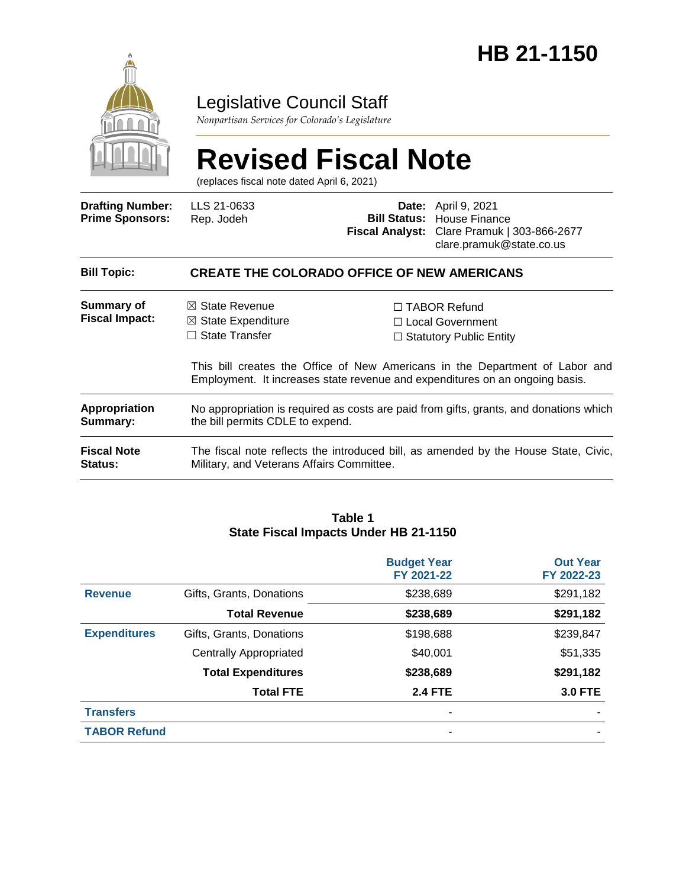

# Legislative Council Staff

*Nonpartisan Services for Colorado's Legislature*

# **Revised Fiscal Note**

(replaces fiscal note dated April 6, 2021)

| <b>Drafting Number:</b><br><b>Prime Sponsors:</b> | LLS 21-0633<br>Rep. Jodeh                                                                                                        |  | <b>Date:</b> April 9, 2021<br><b>Bill Status: House Finance</b><br>Fiscal Analyst: Clare Pramuk   303-866-2677<br>clare.pramuk@state.co.us                                                                                                       |  |  |
|---------------------------------------------------|----------------------------------------------------------------------------------------------------------------------------------|--|--------------------------------------------------------------------------------------------------------------------------------------------------------------------------------------------------------------------------------------------------|--|--|
| <b>Bill Topic:</b>                                | <b>CREATE THE COLORADO OFFICE OF NEW AMERICANS</b>                                                                               |  |                                                                                                                                                                                                                                                  |  |  |
| <b>Summary of</b><br><b>Fiscal Impact:</b>        | $\boxtimes$ State Revenue<br>$\boxtimes$ State Expenditure<br>$\Box$ State Transfer                                              |  | $\Box$ TABOR Refund<br>$\Box$ Local Government<br>$\Box$ Statutory Public Entity<br>This bill creates the Office of New Americans in the Department of Labor and<br>Employment. It increases state revenue and expenditures on an ongoing basis. |  |  |
| Appropriation<br>Summary:                         | No appropriation is required as costs are paid from gifts, grants, and donations which<br>the bill permits CDLE to expend.       |  |                                                                                                                                                                                                                                                  |  |  |
| <b>Fiscal Note</b><br><b>Status:</b>              | The fiscal note reflects the introduced bill, as amended by the House State, Civic,<br>Military, and Veterans Affairs Committee. |  |                                                                                                                                                                                                                                                  |  |  |

#### **Table 1 State Fiscal Impacts Under HB 21-1150**

|                     |                               | <b>Budget Year</b><br>FY 2021-22 | <b>Out Year</b><br>FY 2022-23 |
|---------------------|-------------------------------|----------------------------------|-------------------------------|
| <b>Revenue</b>      | Gifts, Grants, Donations      | \$238,689                        | \$291,182                     |
|                     | <b>Total Revenue</b>          | \$238,689                        | \$291,182                     |
| <b>Expenditures</b> | Gifts, Grants, Donations      | \$198,688                        | \$239,847                     |
|                     | <b>Centrally Appropriated</b> | \$40,001                         | \$51,335                      |
|                     | <b>Total Expenditures</b>     | \$238,689                        | \$291,182                     |
|                     | <b>Total FTE</b>              | <b>2.4 FTE</b>                   | <b>3.0 FTE</b>                |
| <b>Transfers</b>    |                               |                                  |                               |
| <b>TABOR Refund</b> |                               |                                  |                               |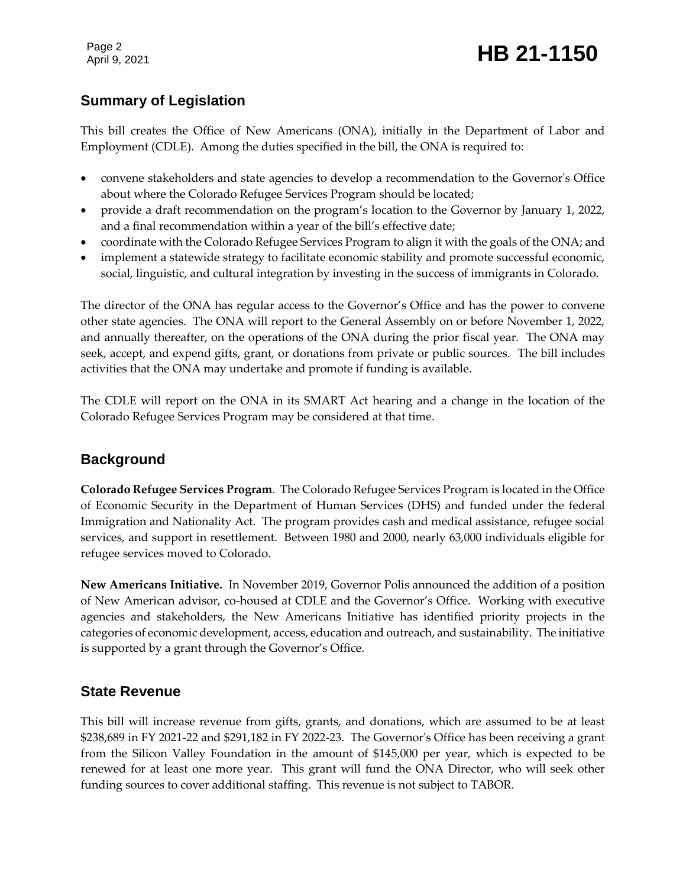Page 2

## **Summary of Legislation**

This bill creates the Office of New Americans (ONA), initially in the Department of Labor and Employment (CDLE). Among the duties specified in the bill, the ONA is required to:

- convene stakeholders and state agencies to develop a recommendation to the Governor's Office about where the Colorado Refugee Services Program should be located;
- provide a draft recommendation on the program's location to the Governor by January 1, 2022, and a final recommendation within a year of the bill's effective date;
- coordinate with the Colorado Refugee Services Program to align it with the goals of the ONA; and
- implement a statewide strategy to facilitate economic stability and promote successful economic, social, linguistic, and cultural integration by investing in the success of immigrants in Colorado.

The director of the ONA has regular access to the Governor's Office and has the power to convene other state agencies. The ONA will report to the General Assembly on or before November 1, 2022, and annually thereafter, on the operations of the ONA during the prior fiscal year. The ONA may seek, accept, and expend gifts, grant, or donations from private or public sources. The bill includes activities that the ONA may undertake and promote if funding is available.

The CDLE will report on the ONA in its SMART Act hearing and a change in the location of the Colorado Refugee Services Program may be considered at that time.

#### **Background**

**Colorado Refugee Services Program**. The Colorado Refugee Services Program is located in the Office of Economic Security in the Department of Human Services (DHS) and funded under the federal Immigration and Nationality Act. The program provides cash and medical assistance, refugee social services, and support in resettlement. Between 1980 and 2000, nearly 63,000 individuals eligible for refugee services moved to Colorado.

**New Americans Initiative.** In November 2019, Governor Polis announced the addition of a position of New American advisor, co-housed at CDLE and the Governor's Office. Working with executive agencies and stakeholders, the New Americans Initiative has identified priority projects in the categories of economic development, access, education and outreach, and sustainability. The initiative is supported by a grant through the Governor's Office.

#### **State Revenue**

This bill will increase revenue from gifts, grants, and donations, which are assumed to be at least \$238,689 in FY 2021-22 and \$291,182 in FY 2022-23. The Governor's Office has been receiving a grant from the Silicon Valley Foundation in the amount of \$145,000 per year, which is expected to be renewed for at least one more year. This grant will fund the ONA Director, who will seek other funding sources to cover additional staffing. This revenue is not subject to TABOR.